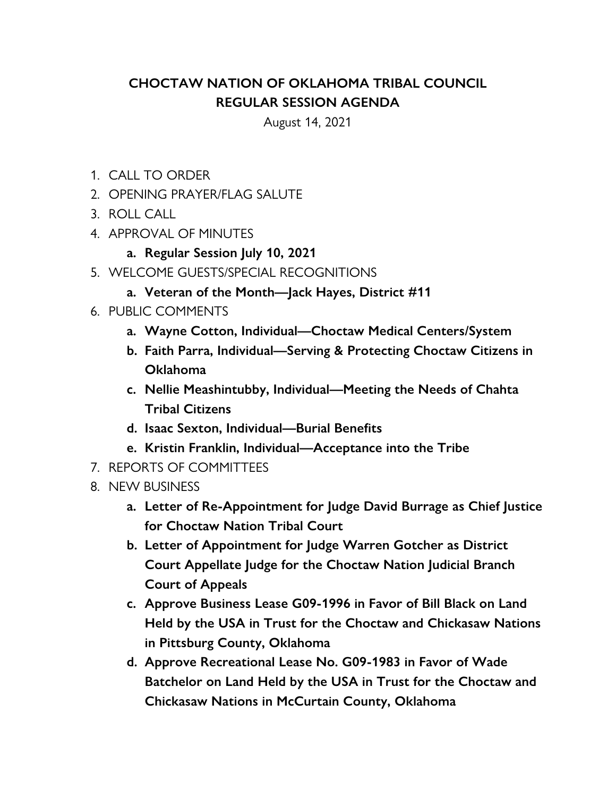## **CHOCTAW NATION OF OKLAHOMA TRIBAL COUNCIL REGULAR SESSION AGENDA**

August 14, 2021

- 1. CALL TO ORDER
- 2. OPENING PRAYER/FLAG SALUTE
- 3. ROLL CALL
- 4. APPROVAL OF MINUTES
	- **a. Regular Session July 10, 2021**
- 5. WELCOME GUESTS/SPECIAL RECOGNITIONS
	- **a. Veteran of the Month—Jack Hayes, District #11**
- 6. PUBLIC COMMENTS
	- **a. Wayne Cotton, Individual—Choctaw Medical Centers/System**
	- **b. Faith Parra, Individual—Serving & Protecting Choctaw Citizens in Oklahoma**
	- **c. Nellie Meashintubby, Individual—Meeting the Needs of Chahta Tribal Citizens**
	- **d. Isaac Sexton, Individual—Burial Benefits**
	- **e. Kristin Franklin, Individual—Acceptance into the Tribe**
- 7. REPORTS OF COMMITTEES
- 8. NEW BUSINESS
	- **a. Letter of Re-Appointment for Judge David Burrage as Chief Justice for Choctaw Nation Tribal Court**
	- **b. Letter of Appointment for Judge Warren Gotcher as District Court Appellate Judge for the Choctaw Nation Judicial Branch Court of Appeals**
	- **c. Approve Business Lease G09-1996 in Favor of Bill Black on Land Held by the USA in Trust for the Choctaw and Chickasaw Nations in Pittsburg County, Oklahoma**
	- **d. Approve Recreational Lease No. G09-1983 in Favor of Wade Batchelor on Land Held by the USA in Trust for the Choctaw and Chickasaw Nations in McCurtain County, Oklahoma**